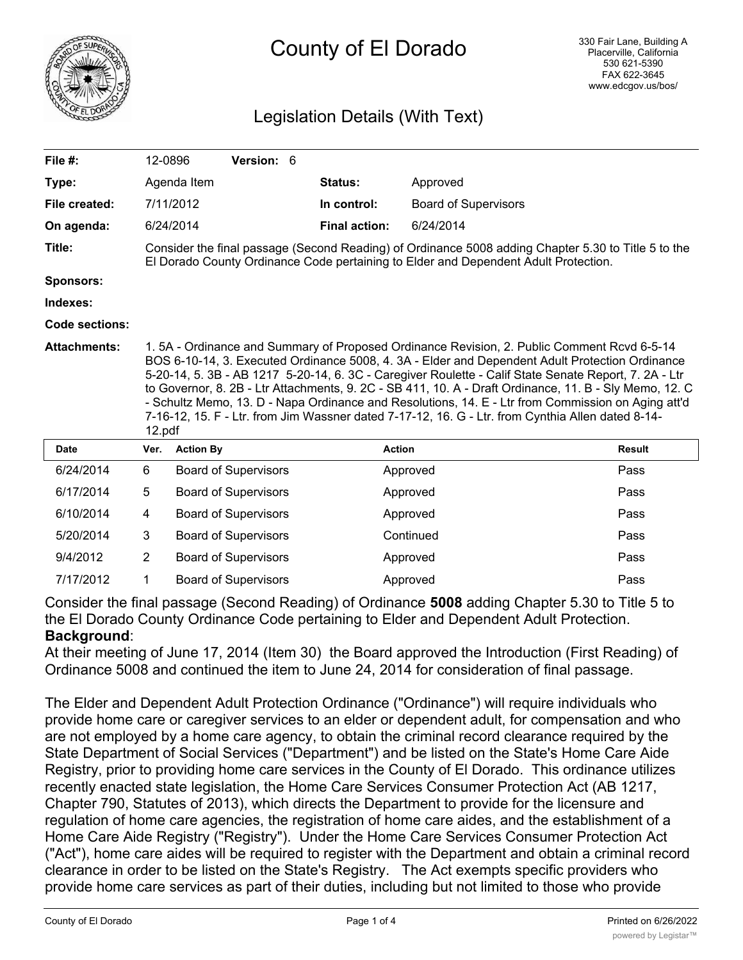

## County of El Dorado

## Legislation Details (With Text)

| File #:             |                                                                                                                                                                                                                                                                                                                                                                                                                                                                                                                                                                                                                                       | 12-0896          | Version: 6                  |  |                      |                             |               |
|---------------------|---------------------------------------------------------------------------------------------------------------------------------------------------------------------------------------------------------------------------------------------------------------------------------------------------------------------------------------------------------------------------------------------------------------------------------------------------------------------------------------------------------------------------------------------------------------------------------------------------------------------------------------|------------------|-----------------------------|--|----------------------|-----------------------------|---------------|
| Type:               |                                                                                                                                                                                                                                                                                                                                                                                                                                                                                                                                                                                                                                       | Agenda Item      |                             |  | Status:              | Approved                    |               |
| File created:       |                                                                                                                                                                                                                                                                                                                                                                                                                                                                                                                                                                                                                                       | 7/11/2012        |                             |  | In control:          | <b>Board of Supervisors</b> |               |
| On agenda:          |                                                                                                                                                                                                                                                                                                                                                                                                                                                                                                                                                                                                                                       | 6/24/2014        |                             |  | <b>Final action:</b> | 6/24/2014                   |               |
| Title:              | Consider the final passage (Second Reading) of Ordinance 5008 adding Chapter 5.30 to Title 5 to the<br>El Dorado County Ordinance Code pertaining to Elder and Dependent Adult Protection.                                                                                                                                                                                                                                                                                                                                                                                                                                            |                  |                             |  |                      |                             |               |
| <b>Sponsors:</b>    |                                                                                                                                                                                                                                                                                                                                                                                                                                                                                                                                                                                                                                       |                  |                             |  |                      |                             |               |
| Indexes:            |                                                                                                                                                                                                                                                                                                                                                                                                                                                                                                                                                                                                                                       |                  |                             |  |                      |                             |               |
| Code sections:      |                                                                                                                                                                                                                                                                                                                                                                                                                                                                                                                                                                                                                                       |                  |                             |  |                      |                             |               |
| <b>Attachments:</b> | 1.5A - Ordinance and Summary of Proposed Ordinance Revision, 2. Public Comment Rcvd 6-5-14<br>BOS 6-10-14, 3. Executed Ordinance 5008, 4. 3A - Elder and Dependent Adult Protection Ordinance<br>5-20-14, 5. 3B - AB 1217 5-20-14, 6. 3C - Caregiver Roulette - Calif State Senate Report, 7. 2A - Ltr<br>to Governor, 8. 2B - Ltr Attachments, 9. 2C - SB 411, 10. A - Draft Ordinance, 11. B - Sly Memo, 12. C<br>- Schultz Memo, 13. D - Napa Ordinance and Resolutions, 14. E - Ltr from Commission on Aging att'd<br>7-16-12, 15. F - Ltr. from Jim Wassner dated 7-17-12, 16. G - Ltr. from Cynthia Allen dated 8-14-<br>12.pdf |                  |                             |  |                      |                             |               |
| <b>Date</b>         | Ver.                                                                                                                                                                                                                                                                                                                                                                                                                                                                                                                                                                                                                                  | <b>Action By</b> |                             |  | <b>Action</b>        |                             | <b>Result</b> |
| 6/24/2014           | 6                                                                                                                                                                                                                                                                                                                                                                                                                                                                                                                                                                                                                                     |                  | <b>Board of Supervisors</b> |  |                      | Approved                    | Pass          |
| 6/17/2014           | 5                                                                                                                                                                                                                                                                                                                                                                                                                                                                                                                                                                                                                                     |                  | <b>Board of Supervisors</b> |  |                      | Approved                    | Pass          |
| 6/10/2014           | 4                                                                                                                                                                                                                                                                                                                                                                                                                                                                                                                                                                                                                                     |                  | <b>Board of Supervisors</b> |  |                      | Approved                    | Pass          |
| 5/20/2014           | 3                                                                                                                                                                                                                                                                                                                                                                                                                                                                                                                                                                                                                                     |                  | <b>Board of Supervisors</b> |  |                      | Continued                   | Pass          |
| 9/4/2012            | $\overline{2}$                                                                                                                                                                                                                                                                                                                                                                                                                                                                                                                                                                                                                        |                  | <b>Board of Supervisors</b> |  |                      | Approved                    | Pass          |
| 7/17/2012           | 1                                                                                                                                                                                                                                                                                                                                                                                                                                                                                                                                                                                                                                     |                  | <b>Board of Supervisors</b> |  |                      | Approved                    | Pass          |

Consider the final passage (Second Reading) of Ordinance **5008** adding Chapter 5.30 to Title 5 to the El Dorado County Ordinance Code pertaining to Elder and Dependent Adult Protection. **Background**:

At their meeting of June 17, 2014 (Item 30) the Board approved the Introduction (First Reading) of Ordinance 5008 and continued the item to June 24, 2014 for consideration of final passage.

The Elder and Dependent Adult Protection Ordinance ("Ordinance") will require individuals who provide home care or caregiver services to an elder or dependent adult, for compensation and who are not employed by a home care agency, to obtain the criminal record clearance required by the State Department of Social Services ("Department") and be listed on the State's Home Care Aide Registry, prior to providing home care services in the County of El Dorado. This ordinance utilizes recently enacted state legislation, the Home Care Services Consumer Protection Act (AB 1217, Chapter 790, Statutes of 2013), which directs the Department to provide for the licensure and regulation of home care agencies, the registration of home care aides, and the establishment of a Home Care Aide Registry ("Registry"). Under the Home Care Services Consumer Protection Act ("Act"), home care aides will be required to register with the Department and obtain a criminal record clearance in order to be listed on the State's Registry. The Act exempts specific providers who provide home care services as part of their duties, including but not limited to those who provide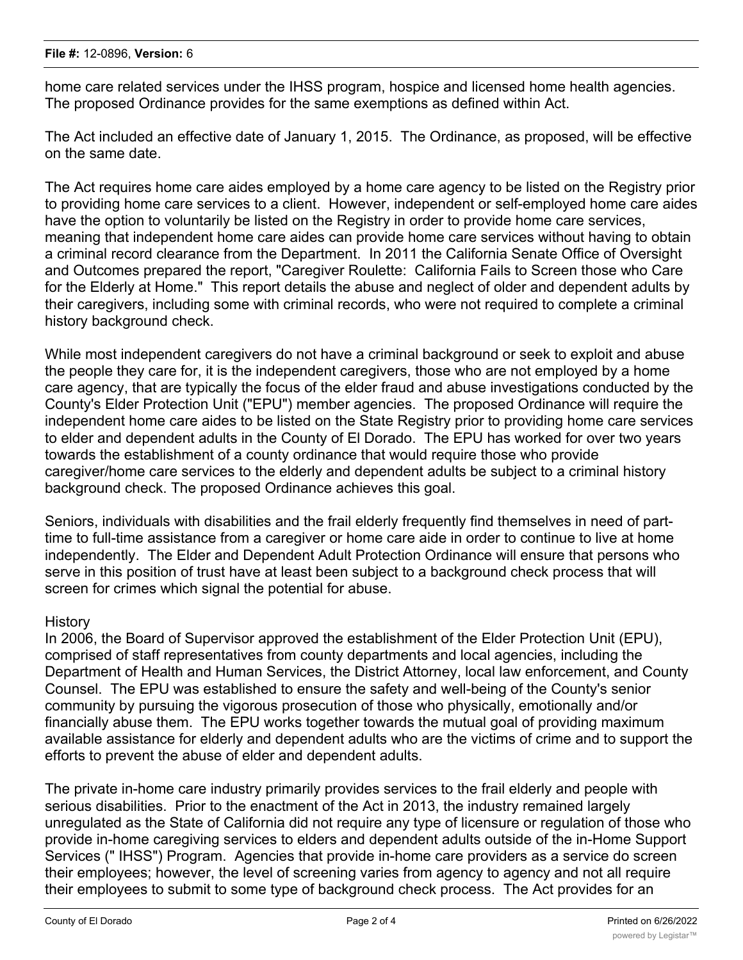home care related services under the IHSS program, hospice and licensed home health agencies. The proposed Ordinance provides for the same exemptions as defined within Act.

The Act included an effective date of January 1, 2015. The Ordinance, as proposed, will be effective on the same date.

The Act requires home care aides employed by a home care agency to be listed on the Registry prior to providing home care services to a client. However, independent or self-employed home care aides have the option to voluntarily be listed on the Registry in order to provide home care services, meaning that independent home care aides can provide home care services without having to obtain a criminal record clearance from the Department. In 2011 the California Senate Office of Oversight and Outcomes prepared the report, "Caregiver Roulette: California Fails to Screen those who Care for the Elderly at Home." This report details the abuse and neglect of older and dependent adults by their caregivers, including some with criminal records, who were not required to complete a criminal history background check.

While most independent caregivers do not have a criminal background or seek to exploit and abuse the people they care for, it is the independent caregivers, those who are not employed by a home care agency, that are typically the focus of the elder fraud and abuse investigations conducted by the County's Elder Protection Unit ("EPU") member agencies. The proposed Ordinance will require the independent home care aides to be listed on the State Registry prior to providing home care services to elder and dependent adults in the County of El Dorado. The EPU has worked for over two years towards the establishment of a county ordinance that would require those who provide caregiver/home care services to the elderly and dependent adults be subject to a criminal history background check. The proposed Ordinance achieves this goal.

Seniors, individuals with disabilities and the frail elderly frequently find themselves in need of parttime to full-time assistance from a caregiver or home care aide in order to continue to live at home independently. The Elder and Dependent Adult Protection Ordinance will ensure that persons who serve in this position of trust have at least been subject to a background check process that will screen for crimes which signal the potential for abuse.

## **History**

In 2006, the Board of Supervisor approved the establishment of the Elder Protection Unit (EPU), comprised of staff representatives from county departments and local agencies, including the Department of Health and Human Services, the District Attorney, local law enforcement, and County Counsel. The EPU was established to ensure the safety and well-being of the County's senior community by pursuing the vigorous prosecution of those who physically, emotionally and/or financially abuse them. The EPU works together towards the mutual goal of providing maximum available assistance for elderly and dependent adults who are the victims of crime and to support the efforts to prevent the abuse of elder and dependent adults.

The private in-home care industry primarily provides services to the frail elderly and people with serious disabilities. Prior to the enactment of the Act in 2013, the industry remained largely unregulated as the State of California did not require any type of licensure or regulation of those who provide in-home caregiving services to elders and dependent adults outside of the in-Home Support Services (" IHSS") Program. Agencies that provide in-home care providers as a service do screen their employees; however, the level of screening varies from agency to agency and not all require their employees to submit to some type of background check process. The Act provides for an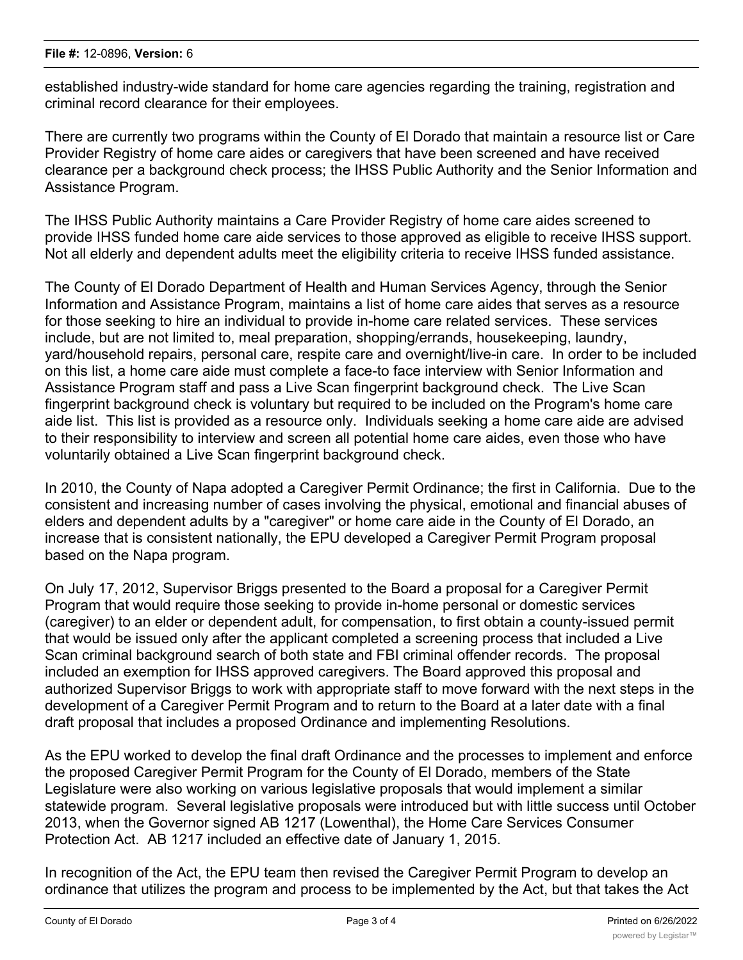established industry-wide standard for home care agencies regarding the training, registration and criminal record clearance for their employees.

There are currently two programs within the County of El Dorado that maintain a resource list or Care Provider Registry of home care aides or caregivers that have been screened and have received clearance per a background check process; the IHSS Public Authority and the Senior Information and Assistance Program.

The IHSS Public Authority maintains a Care Provider Registry of home care aides screened to provide IHSS funded home care aide services to those approved as eligible to receive IHSS support. Not all elderly and dependent adults meet the eligibility criteria to receive IHSS funded assistance.

The County of El Dorado Department of Health and Human Services Agency, through the Senior Information and Assistance Program, maintains a list of home care aides that serves as a resource for those seeking to hire an individual to provide in-home care related services. These services include, but are not limited to, meal preparation, shopping/errands, housekeeping, laundry, yard/household repairs, personal care, respite care and overnight/live-in care. In order to be included on this list, a home care aide must complete a face-to face interview with Senior Information and Assistance Program staff and pass a Live Scan fingerprint background check. The Live Scan fingerprint background check is voluntary but required to be included on the Program's home care aide list. This list is provided as a resource only. Individuals seeking a home care aide are advised to their responsibility to interview and screen all potential home care aides, even those who have voluntarily obtained a Live Scan fingerprint background check.

In 2010, the County of Napa adopted a Caregiver Permit Ordinance; the first in California. Due to the consistent and increasing number of cases involving the physical, emotional and financial abuses of elders and dependent adults by a "caregiver" or home care aide in the County of El Dorado, an increase that is consistent nationally, the EPU developed a Caregiver Permit Program proposal based on the Napa program.

On July 17, 2012, Supervisor Briggs presented to the Board a proposal for a Caregiver Permit Program that would require those seeking to provide in-home personal or domestic services (caregiver) to an elder or dependent adult, for compensation, to first obtain a county-issued permit that would be issued only after the applicant completed a screening process that included a Live Scan criminal background search of both state and FBI criminal offender records. The proposal included an exemption for IHSS approved caregivers. The Board approved this proposal and authorized Supervisor Briggs to work with appropriate staff to move forward with the next steps in the development of a Caregiver Permit Program and to return to the Board at a later date with a final draft proposal that includes a proposed Ordinance and implementing Resolutions.

As the EPU worked to develop the final draft Ordinance and the processes to implement and enforce the proposed Caregiver Permit Program for the County of El Dorado, members of the State Legislature were also working on various legislative proposals that would implement a similar statewide program. Several legislative proposals were introduced but with little success until October 2013, when the Governor signed AB 1217 (Lowenthal), the Home Care Services Consumer Protection Act. AB 1217 included an effective date of January 1, 2015.

In recognition of the Act, the EPU team then revised the Caregiver Permit Program to develop an ordinance that utilizes the program and process to be implemented by the Act, but that takes the Act